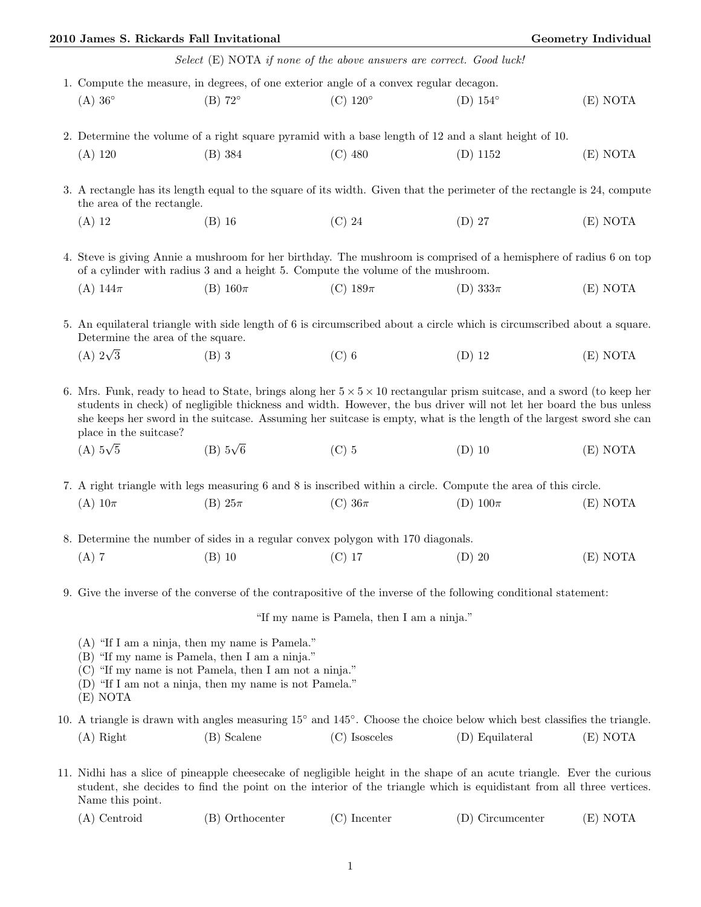|                                                                                                                                                                                                                                                                                                                                                                                                             | 2010 James S. Rickards Fall Invitational                                                                                                                     |                                                                                        | <b>Geometry Individual</b>                                                                                       |          |  |  |
|-------------------------------------------------------------------------------------------------------------------------------------------------------------------------------------------------------------------------------------------------------------------------------------------------------------------------------------------------------------------------------------------------------------|--------------------------------------------------------------------------------------------------------------------------------------------------------------|----------------------------------------------------------------------------------------|------------------------------------------------------------------------------------------------------------------|----------|--|--|
|                                                                                                                                                                                                                                                                                                                                                                                                             |                                                                                                                                                              | Select (E) NOTA if none of the above answers are correct. Good luck!                   |                                                                                                                  |          |  |  |
|                                                                                                                                                                                                                                                                                                                                                                                                             |                                                                                                                                                              | 1. Compute the measure, in degrees, of one exterior angle of a convex regular decagon. |                                                                                                                  |          |  |  |
| $(A)$ 36 $\circ$                                                                                                                                                                                                                                                                                                                                                                                            | $(B)$ 72°                                                                                                                                                    | $(C) 120^\circ$                                                                        | $(D) 154^\circ$                                                                                                  | (E) NOTA |  |  |
| 2. Determine the volume of a right square pyramid with a base length of 12 and a slant height of 10.                                                                                                                                                                                                                                                                                                        |                                                                                                                                                              |                                                                                        |                                                                                                                  |          |  |  |
| $(A)$ 120                                                                                                                                                                                                                                                                                                                                                                                                   | $(B)$ 384                                                                                                                                                    | $(C)$ 480                                                                              | $(D)$ 1152                                                                                                       | (E) NOTA |  |  |
| 3. A rectangle has its length equal to the square of its width. Given that the perimeter of the rectangle is 24, compute<br>the area of the rectangle.                                                                                                                                                                                                                                                      |                                                                                                                                                              |                                                                                        |                                                                                                                  |          |  |  |
| $(A)$ 12                                                                                                                                                                                                                                                                                                                                                                                                    | $(B)$ 16                                                                                                                                                     | $(C)$ 24                                                                               | $(D)$ 27                                                                                                         | (E) NOTA |  |  |
| 4. Steve is giving Annie a mushroom for her birthday. The mushroom is comprised of a hemisphere of radius 6 on top<br>of a cylinder with radius 3 and a height 5. Compute the volume of the mushroom.                                                                                                                                                                                                       |                                                                                                                                                              |                                                                                        |                                                                                                                  |          |  |  |
| $(A)$ 144 $\pi$                                                                                                                                                                                                                                                                                                                                                                                             | $(B)$ 160 $\pi$                                                                                                                                              | (C) $189\pi$                                                                           | (D) $333\pi$                                                                                                     | (E) NOTA |  |  |
| 5. An equilateral triangle with side length of 6 is circumscribed about a circle which is circumscribed about a square.<br>Determine the area of the square.                                                                                                                                                                                                                                                |                                                                                                                                                              |                                                                                        |                                                                                                                  |          |  |  |
| (A) $2\sqrt{3}$                                                                                                                                                                                                                                                                                                                                                                                             | $(B)$ 3                                                                                                                                                      | $(C)$ 6                                                                                | $(D)$ 12                                                                                                         | (E) NOTA |  |  |
| 6. Mrs. Funk, ready to head to State, brings along her $5 \times 5 \times 10$ rectangular prism suitcase, and a sword (to keep her<br>students in check) of negligible thickness and width. However, the bus driver will not let her board the bus unless<br>she keeps her sword in the suitcase. Assuming her suitcase is empty, what is the length of the largest sword she can<br>place in the suitcase? |                                                                                                                                                              |                                                                                        |                                                                                                                  |          |  |  |
| (A) $5\sqrt{5}$                                                                                                                                                                                                                                                                                                                                                                                             | $(B)$ 5 $\sqrt{6}$                                                                                                                                           | $(C)$ 5                                                                                | $(D)$ 10                                                                                                         | (E) NOTA |  |  |
|                                                                                                                                                                                                                                                                                                                                                                                                             |                                                                                                                                                              |                                                                                        | 7. A right triangle with legs measuring 6 and 8 is inscribed within a circle. Compute the area of this circle.   |          |  |  |
| (A) $10\pi$                                                                                                                                                                                                                                                                                                                                                                                                 | $(B) 25\pi$                                                                                                                                                  | (C) $36\pi$                                                                            | (D) $100\pi$                                                                                                     | (E) NOTA |  |  |
| 8. Determine the number of sides in a regular convex polygon with 170 diagonals.                                                                                                                                                                                                                                                                                                                            |                                                                                                                                                              |                                                                                        |                                                                                                                  |          |  |  |
| $(A)$ 7                                                                                                                                                                                                                                                                                                                                                                                                     | $(B)$ 10                                                                                                                                                     | $(C)$ 17                                                                               | $(D)$ 20                                                                                                         | (E) NOTA |  |  |
|                                                                                                                                                                                                                                                                                                                                                                                                             |                                                                                                                                                              |                                                                                        | 9. Give the inverse of the converse of the contrapositive of the inverse of the following conditional statement: |          |  |  |
|                                                                                                                                                                                                                                                                                                                                                                                                             |                                                                                                                                                              | "If my name is Pamela, then I am a ninja."                                             |                                                                                                                  |          |  |  |
|                                                                                                                                                                                                                                                                                                                                                                                                             | $(A)$ "If I am a ninja, then my name is Pamela."<br>(B) "If my name is Pamela, then I am a ninja."<br>(C) "If my name is not Pamela, then I am not a ninja." |                                                                                        |                                                                                                                  |          |  |  |

- (D) "If I am not a ninja, then my name is not Pamela."
- (E) NOTA

|             |             |               | 10. A triangle is drawn with angles measuring $15^{\circ}$ and $145^{\circ}$ . Choose the choice below which best classifies the triangle. |          |
|-------------|-------------|---------------|--------------------------------------------------------------------------------------------------------------------------------------------|----------|
| $(A)$ Right | (B) Scalene | (C) Isosceles | (D) Equilateral                                                                                                                            | (E) NOTA |

11. Nidhi has a slice of pineapple cheesecake of negligible height in the shape of an acute triangle. Ever the curious student, she decides to find the point on the interior of the triangle which is equidistant from all three vertices. Name this point.

| $(A)$ Centroid | (B) Orthocenter | $(C)$ Incenter | (D) Circumcenter | (E) NOTA |
|----------------|-----------------|----------------|------------------|----------|
|----------------|-----------------|----------------|------------------|----------|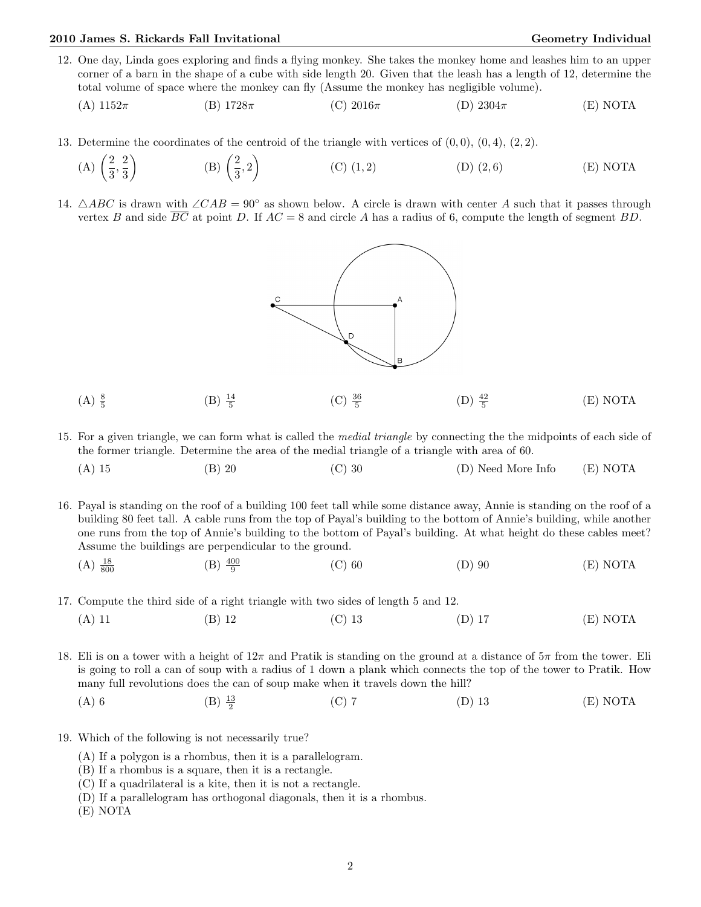## 2010 James S. Rickards Fall Invitational Christian Communication Ceometry Individual Geometry Individual

- 12. One day, Linda goes exploring and finds a flying monkey. She takes the monkey home and leashes him to an upper corner of a barn in the shape of a cube with side length 20. Given that the leash has a length of 12, determine the total volume of space where the monkey can fly (Assume the monkey has negligible volume).
	- (A)  $1152\pi$  (B)  $1728\pi$  (C)  $2016\pi$  (D)  $2304\pi$  (E) NOTA
- 13. Determine the coordinates of the centroid of the triangle with vertices of  $(0, 0)$ ,  $(0, 4)$ ,  $(2, 2)$ .
	- $(A)$   $\left(\frac{2}{5}\right)$  $\frac{2}{3}, \frac{2}{3}$ 3  $\setminus$  $(B)$  $\left(\frac{2}{5}\right)$  $\left(\frac{2}{3},2\right)$ (C)  $(1, 2)$  (D)  $(2, 6)$  (E) NOTA
- 14.  $\triangle ABC$  is drawn with  $\angle CAB = 90°$  as shown below. A circle is drawn with center A such that it passes through vertex B and side BC at point D. If  $AC = 8$  and circle A has a radius of 6, compute the length of segment BD.



- $(A) \frac{8}{5}$  $(B) \frac{14}{5}$  $(C) \frac{36}{5}$  $(D) \frac{42}{5}$ (E) NOTA
- 15. For a given triangle, we can form what is called the medial triangle by connecting the the midpoints of each side of the former triangle. Determine the area of the medial triangle of a triangle with area of 60.
	- (A) 15 (B) 20 (C) 30 (D) Need More Info (E) NOTA
- 16. Payal is standing on the roof of a building 100 feet tall while some distance away, Annie is standing on the roof of a building 80 feet tall. A cable runs from the top of Payal's building to the bottom of Annie's building, while another one runs from the top of Annie's building to the bottom of Payal's building. At what height do these cables meet? Assume the buildings are perpendicular to the ground.
	- $(A) \frac{18}{800}$  $\frac{18}{800}$  (B)  $\frac{400}{9}$ (C) 60 (D) 90 (E) NOTA
- 17. Compute the third side of a right triangle with two sides of length 5 and 12.
	- (A) 11 (B) 12 (C) 13 (D) 17 (E) NOTA

18. Eli is on a tower with a height of  $12\pi$  and Pratik is standing on the ground at a distance of  $5\pi$  from the tower. Eli is going to roll a can of soup with a radius of 1 down a plank which connects the top of the tower to Pratik. How many full revolutions does the can of soup make when it travels down the hill?

- (A) 6 (B)  $\frac{13}{2}$  $(C)$  7 (D) 13 (E) NOTA
- 19. Which of the following is not necessarily true?
	- (A) If a polygon is a rhombus, then it is a parallelogram.
	- (B) If a rhombus is a square, then it is a rectangle.
	- (C) If a quadrilateral is a kite, then it is not a rectangle.
	- (D) If a parallelogram has orthogonal diagonals, then it is a rhombus.
	- (E) NOTA